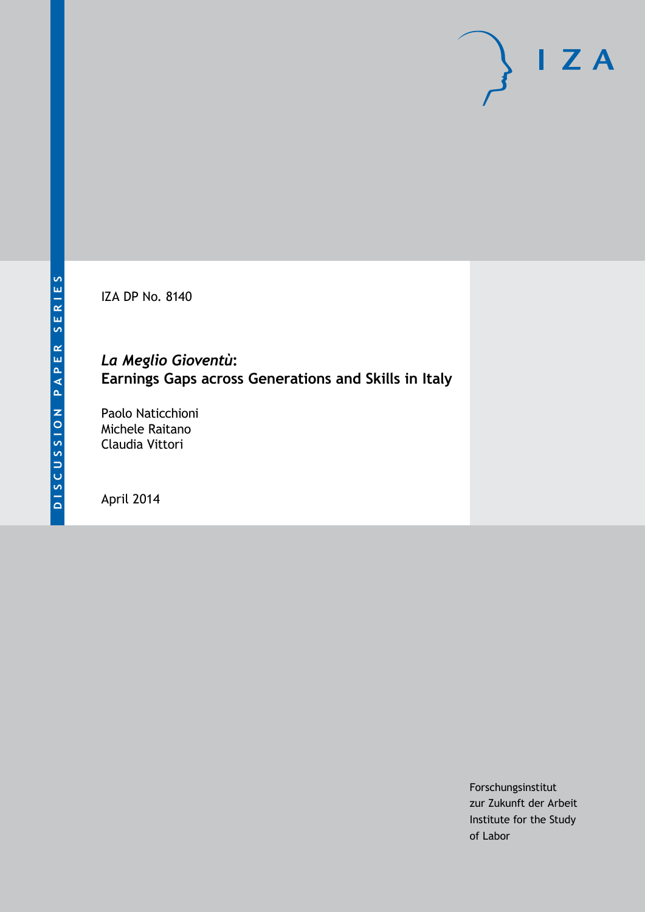IZA DP No. 8140

## *La Meglio Gioventù***: Earnings Gaps across Generations and Skills in Italy**

Paolo Naticchioni Michele Raitano Claudia Vittori

April 2014

Forschungsinstitut zur Zukunft der Arbeit Institute for the Study of Labor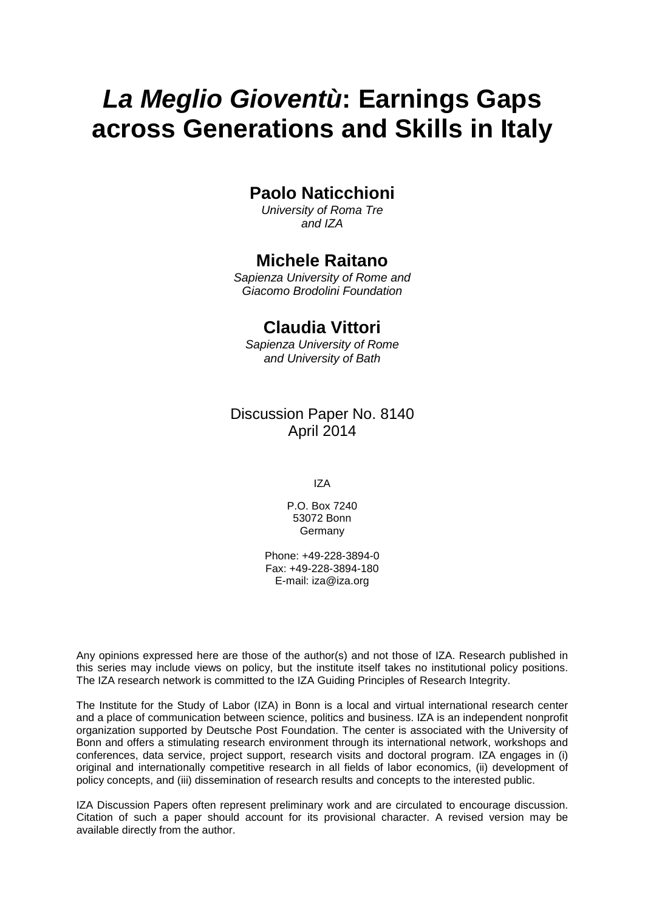# *La Meglio Gioventù***: Earnings Gaps across Generations and Skills in Italy**

## **Paolo Naticchioni**

*University of Roma Tre and IZA*

## **Michele Raitano**

*Sapienza University of Rome and Giacomo Brodolini Foundation*

## **Claudia Vittori**

*Sapienza University of Rome and University of Bath*

### Discussion Paper No. 8140 April 2014

IZA

P.O. Box 7240 53072 Bonn Germany

Phone: +49-228-3894-0 Fax: +49-228-3894-180 E-mail: [iza@iza.org](mailto:iza@iza.org)

Any opinions expressed here are those of the author(s) and not those of IZA. Research published in this series may include views on policy, but the institute itself takes no institutional policy positions. The IZA research network is committed to the IZA Guiding Principles of Research Integrity.

The Institute for the Study of Labor (IZA) in Bonn is a local and virtual international research center and a place of communication between science, politics and business. IZA is an independent nonprofit organization supported by Deutsche Post Foundation. The center is associated with the University of Bonn and offers a stimulating research environment through its international network, workshops and conferences, data service, project support, research visits and doctoral program. IZA engages in (i) original and internationally competitive research in all fields of labor economics, (ii) development of policy concepts, and (iii) dissemination of research results and concepts to the interested public.

<span id="page-1-0"></span>IZA Discussion Papers often represent preliminary work and are circulated to encourage discussion. Citation of such a paper should account for its provisional character. A revised version may be available directly from the author.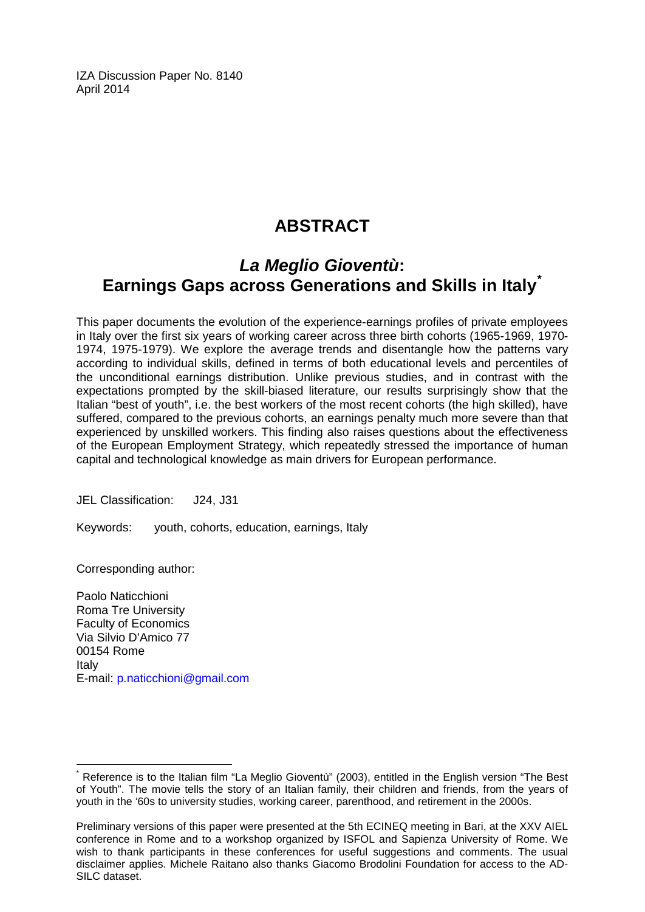IZA Discussion Paper No. 8140 April 2014

## **ABSTRACT**

## *La Meglio Gioventù***: Earnings Gaps across Generations and Skills in Italy[\\*](#page-1-0)**

This paper documents the evolution of the experience-earnings profiles of private employees in Italy over the first six years of working career across three birth cohorts (1965-1969, 1970- 1974, 1975-1979). We explore the average trends and disentangle how the patterns vary according to individual skills, defined in terms of both educational levels and percentiles of the unconditional earnings distribution. Unlike previous studies, and in contrast with the expectations prompted by the skill-biased literature, our results surprisingly show that the Italian "best of youth", i.e. the best workers of the most recent cohorts (the high skilled), have suffered, compared to the previous cohorts, an earnings penalty much more severe than that experienced by unskilled workers. This finding also raises questions about the effectiveness of the European Employment Strategy, which repeatedly stressed the importance of human capital and technological knowledge as main drivers for European performance.

JEL Classification: J24, J31

Keywords: youth, cohorts, education, earnings, Italy

Corresponding author:

Paolo Naticchioni Roma Tre University Faculty of Economics Via Silvio D'Amico 77 00154 Rome Italy E-mail: [p.naticchioni@gmail.com](mailto:p.naticchioni@gmail.com)

Reference is to the Italian film "La Meglio Gioventù" (2003), entitled in the English version "The Best of Youth". The movie tells the story of an Italian family, their children and friends, from the years of youth in the '60s to university studies, working career, parenthood, and retirement in the 2000s.

Preliminary versions of this paper were presented at the 5th ECINEQ meeting in Bari, at the XXV AIEL conference in Rome and to a workshop organized by ISFOL and Sapienza University of Rome. We wish to thank participants in these conferences for useful suggestions and comments. The usual disclaimer applies. Michele Raitano also thanks Giacomo Brodolini Foundation for access to the AD-SILC dataset.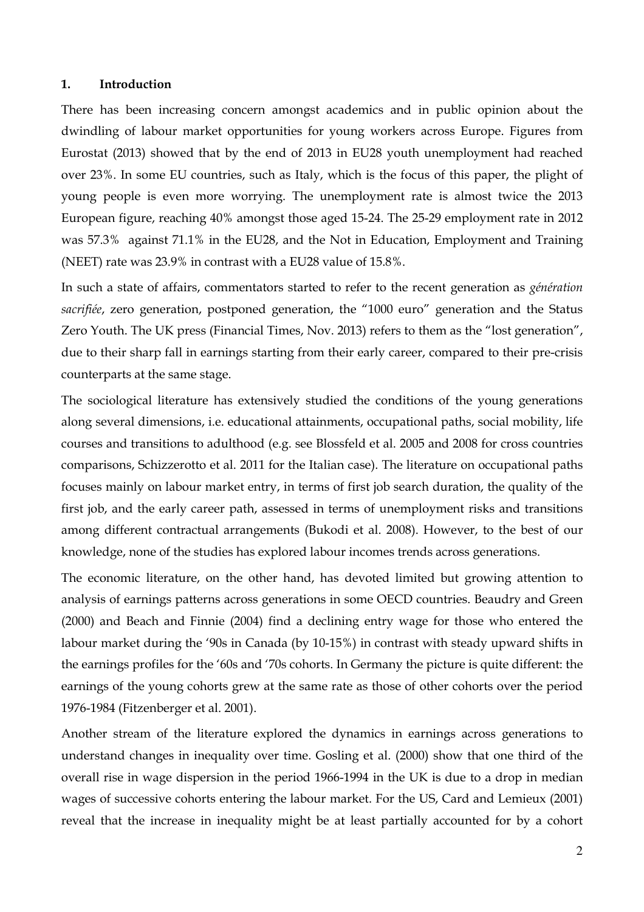#### **1. Introduction**

There has been increasing concern amongst academics and in public opinion about the dwindling of labour market opportunities for young workers across Europe. Figures from Eurostat (2013) showed that by the end of 2013 in EU28 youth unemployment had reached over 23%. In some EU countries, such as Italy, which is the focus of this paper, the plight of young people is even more worrying. The unemployment rate is almost twice the 2013 European figure, reaching 40% amongst those aged 15-24. The 25-29 employment rate in 2012 was 57.3% against 71.1% in the EU28, and the Not in Education, Employment and Training (NEET) rate was 23.9% in contrast with a EU28 value of 15.8%.

In such a state of affairs, commentators started to refer to the recent generation as *génération sacrifiée*, zero generation, postponed generation, the "1000 euro" generation and the Status Zero Youth. The UK press (Financial Times, Nov. 2013) refers to them as the "lost generation", due to their sharp fall in earnings starting from their early career, compared to their pre-crisis counterparts at the same stage.

The sociological literature has extensively studied the conditions of the young generations along several dimensions, i.e. educational attainments, occupational paths, social mobility, life courses and transitions to adulthood (e.g. see Blossfeld et al. 2005 and 2008 for cross countries comparisons, Schizzerotto et al. 2011 for the Italian case). The literature on occupational paths focuses mainly on labour market entry, in terms of first job search duration, the quality of the first job, and the early career path, assessed in terms of unemployment risks and transitions among different contractual arrangements (Bukodi et al. 2008). However, to the best of our knowledge, none of the studies has explored labour incomes trends across generations.

The economic literature, on the other hand, has devoted limited but growing attention to analysis of earnings patterns across generations in some OECD countries. Beaudry and Green (2000) and Beach and Finnie (2004) find a declining entry wage for those who entered the labour market during the '90s in Canada (by 10-15%) in contrast with steady upward shifts in the earnings profiles for the '60s and '70s cohorts. In Germany the picture is quite different: the earnings of the young cohorts grew at the same rate as those of other cohorts over the period 1976-1984 (Fitzenberger et al. 2001).

Another stream of the literature explored the dynamics in earnings across generations to understand changes in inequality over time. Gosling et al. (2000) show that one third of the overall rise in wage dispersion in the period 1966-1994 in the UK is due to a drop in median wages of successive cohorts entering the labour market. For the US, Card and Lemieux (2001) reveal that the increase in inequality might be at least partially accounted for by a cohort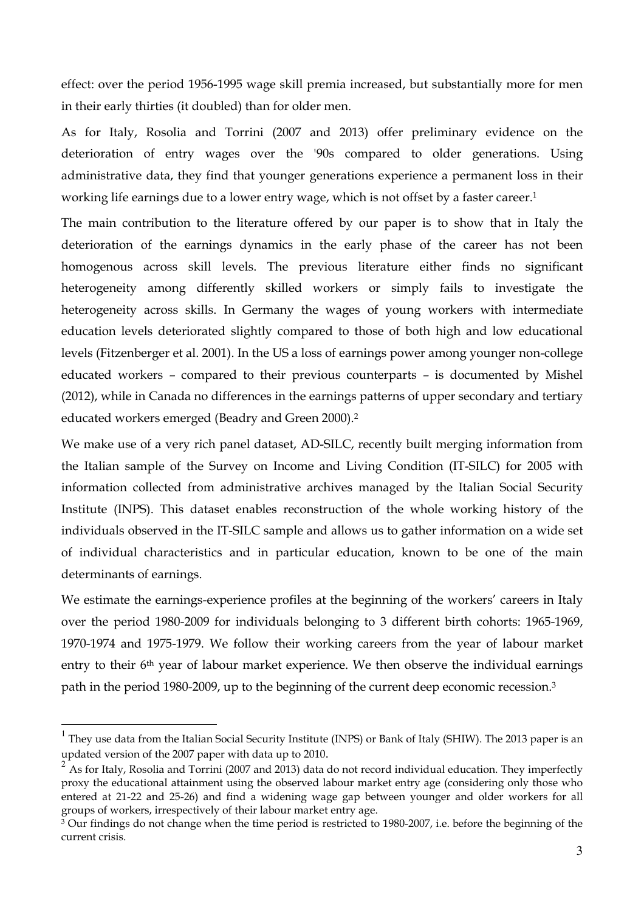effect: over the period 1956-1995 wage skill premia increased, but substantially more for men in their early thirties (it doubled) than for older men.

As for Italy, Rosolia and Torrini (2007 and 2013) offer preliminary evidence on the deterioration of entry wages over the '90s compared to older generations. Using administrative data, they find that younger generations experience a permanent loss in their working life earnings due to a lower entry wage, which is not offset by a faster career.<sup>1</sup>

The main contribution to the literature offered by our paper is to show that in Italy the deterioration of the earnings dynamics in the early phase of the career has not been homogenous across skill levels. The previous literature either finds no significant heterogeneity among differently skilled workers or simply fails to investigate the heterogeneity across skills. In Germany the wages of young workers with intermediate education levels deteriorated slightly compared to those of both high and low educational levels (Fitzenberger et al. 2001). In the US a loss of earnings power among younger non-college educated workers – compared to their previous counterparts – is documented by Mishel (2012), while in Canada no differences in the earnings patterns of upper secondary and tertiary educated workers emerged (Beadry and Green 2000).<sup>2</sup>

We make use of a very rich panel dataset, AD-SILC, recently built merging information from the Italian sample of the Survey on Income and Living Condition (IT-SILC) for 2005 with information collected from administrative archives managed by the Italian Social Security Institute (INPS). This dataset enables reconstruction of the whole working history of the individuals observed in the IT-SILC sample and allows us to gather information on a wide set of individual characteristics and in particular education, known to be one of the main determinants of earnings.

We estimate the earnings-experience profiles at the beginning of the workers' careers in Italy over the period 1980-2009 for individuals belonging to 3 different birth cohorts: 1965-1969, 1970-1974 and 1975-1979. We follow their working careers from the year of labour market entry to their 6<sup>th</sup> year of labour market experience. We then observe the individual earnings path in the period 1980-2009, up to the beginning of the current deep economic recession. $^3$ 

l

<sup>&</sup>lt;sup>1</sup> They use data from the Italian Social Security Institute (INPS) or Bank of Italy (SHIW). The 2013 paper is an updated version of the 2007 paper with data up to 2010.

 $2^2$  As for Italy, Rosolia and Torrini (2007 and 2013) data do not record individual education. They imperfectly proxy the educational attainment using the observed labour market entry age (considering only those who entered at 21-22 and 25-26) and find a widening wage gap between younger and older workers for all groups of workers, irrespectively of their labour market entry age.

<sup>3</sup> Our findings do not change when the time period is restricted to 1980-2007, i.e. before the beginning of the current crisis.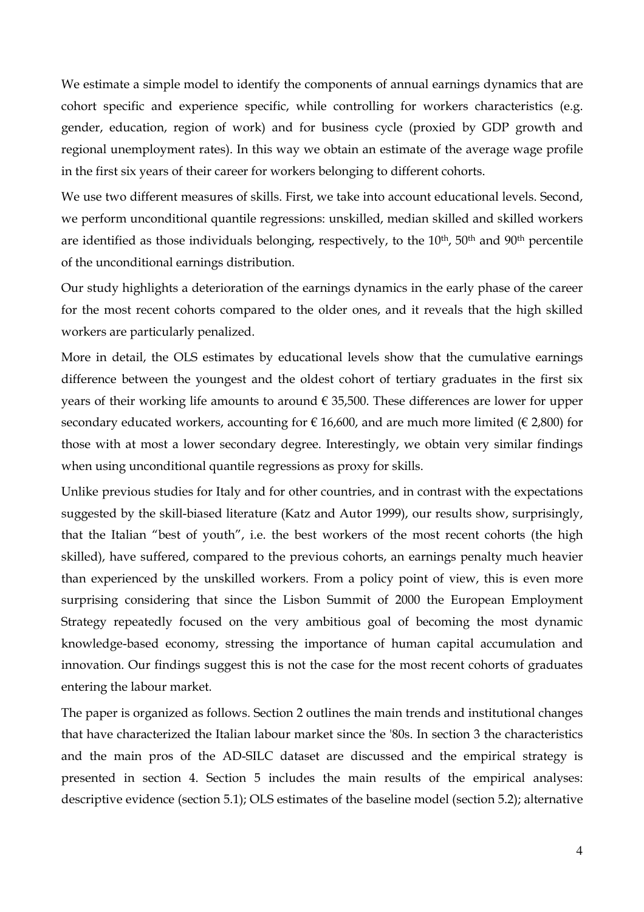We estimate a simple model to identify the components of annual earnings dynamics that are cohort specific and experience specific, while controlling for workers characteristics (e.g. gender, education, region of work) and for business cycle (proxied by GDP growth and regional unemployment rates). In this way we obtain an estimate of the average wage profile in the first six years of their career for workers belonging to different cohorts.

We use two different measures of skills. First, we take into account educational levels. Second, we perform unconditional quantile regressions: unskilled, median skilled and skilled workers are identified as those individuals belonging, respectively, to the  $10<sup>th</sup>$ , 50<sup>th</sup> and 90<sup>th</sup> percentile of the unconditional earnings distribution.

Our study highlights a deterioration of the earnings dynamics in the early phase of the career for the most recent cohorts compared to the older ones, and it reveals that the high skilled workers are particularly penalized.

More in detail, the OLS estimates by educational levels show that the cumulative earnings difference between the youngest and the oldest cohort of tertiary graduates in the first six years of their working life amounts to around  $\epsilon$  35,500. These differences are lower for upper secondary educated workers, accounting for  $\in 16,600$ , and are much more limited ( $\in 2,800$ ) for those with at most a lower secondary degree. Interestingly, we obtain very similar findings when using unconditional quantile regressions as proxy for skills.

Unlike previous studies for Italy and for other countries, and in contrast with the expectations suggested by the skill-biased literature (Katz and Autor 1999), our results show, surprisingly, that the Italian "best of youth", i.e. the best workers of the most recent cohorts (the high skilled), have suffered, compared to the previous cohorts, an earnings penalty much heavier than experienced by the unskilled workers. From a policy point of view, this is even more surprising considering that since the Lisbon Summit of 2000 the European Employment Strategy repeatedly focused on the very ambitious goal of becoming the most dynamic knowledge-based economy, stressing the importance of human capital accumulation and innovation. Our findings suggest this is not the case for the most recent cohorts of graduates entering the labour market.

The paper is organized as follows. Section 2 outlines the main trends and institutional changes that have characterized the Italian labour market since the '80s. In section 3 the characteristics and the main pros of the AD-SILC dataset are discussed and the empirical strategy is presented in section 4. Section 5 includes the main results of the empirical analyses: descriptive evidence (section 5.1); OLS estimates of the baseline model (section 5.2); alternative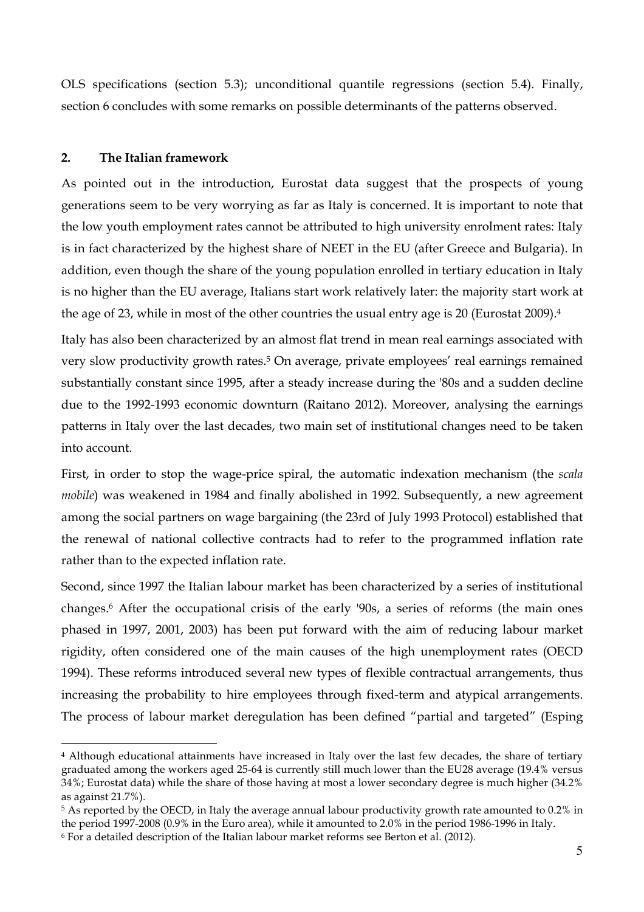OLS specifications (section 5.3); unconditional quantile regressions (section 5.4). Finally, section 6 concludes with some remarks on possible determinants of the patterns observed.

#### **2. The Italian framework**

l

As pointed out in the introduction, Eurostat data suggest that the prospects of young generations seem to be very worrying as far as Italy is concerned. It is important to note that the low youth employment rates cannot be attributed to high university enrolment rates: Italy is in fact characterized by the highest share of NEET in the EU (after Greece and Bulgaria). In addition, even though the share of the young population enrolled in tertiary education in Italy is no higher than the EU average, Italians start work relatively later: the majority start work at the age of 23, while in most of the other countries the usual entry age is 20 (Eurostat 2009).<sup>4</sup>

Italy has also been characterized by an almost flat trend in mean real earnings associated with very slow productivity growth rates.<sup>5</sup> On average, private employees' real earnings remained substantially constant since 1995, after a steady increase during the '80s and a sudden decline due to the 1992-1993 economic downturn (Raitano 2012). Moreover, analysing the earnings patterns in Italy over the last decades, two main set of institutional changes need to be taken into account.

First, in order to stop the wage-price spiral, the automatic indexation mechanism (the *scala mobile*) was weakened in 1984 and finally abolished in 1992. Subsequently, a new agreement among the social partners on wage bargaining (the 23rd of July 1993 Protocol) established that the renewal of national collective contracts had to refer to the programmed inflation rate rather than to the expected inflation rate.

Second, since 1997 the Italian labour market has been characterized by a series of institutional changes.<sup>6</sup> After the occupational crisis of the early '90s, a series of reforms (the main ones phased in 1997, 2001, 2003) has been put forward with the aim of reducing labour market rigidity, often considered one of the main causes of the high unemployment rates (OECD 1994). These reforms introduced several new types of flexible contractual arrangements, thus increasing the probability to hire employees through fixed-term and atypical arrangements. The process of labour market deregulation has been defined "partial and targeted" (Esping

<sup>4</sup> Although educational attainments have increased in Italy over the last few decades, the share of tertiary graduated among the workers aged 25-64 is currently still much lower than the EU28 average (19.4% versus 34%; Eurostat data) while the share of those having at most a lower secondary degree is much higher (34.2% as against 21.7%).

<sup>5</sup> As reported by the OECD, in Italy the average annual labour productivity growth rate amounted to 0.2% in the period 1997-2008 (0.9% in the Euro area), while it amounted to 2.0% in the period 1986-1996 in Italy.

<sup>6</sup> For a detailed description of the Italian labour market reforms see Berton et al. (2012).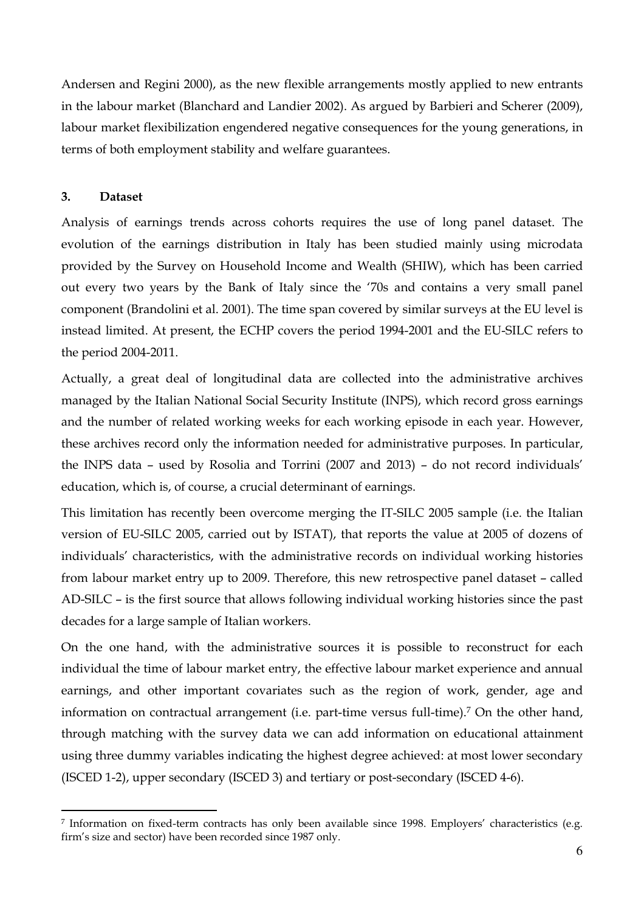Andersen and Regini 2000), as the new flexible arrangements mostly applied to new entrants in the labour market (Blanchard and Landier 2002). As argued by Barbieri and Scherer (2009), labour market flexibilization engendered negative consequences for the young generations, in terms of both employment stability and welfare guarantees.

### **3. Dataset**

l

Analysis of earnings trends across cohorts requires the use of long panel dataset. The evolution of the earnings distribution in Italy has been studied mainly using microdata provided by the Survey on Household Income and Wealth (SHIW), which has been carried out every two years by the Bank of Italy since the '70s and contains a very small panel component (Brandolini et al. 2001). The time span covered by similar surveys at the EU level is instead limited. At present, the ECHP covers the period 1994-2001 and the EU-SILC refers to the period 2004-2011.

Actually, a great deal of longitudinal data are collected into the administrative archives managed by the Italian National Social Security Institute (INPS), which record gross earnings and the number of related working weeks for each working episode in each year. However, these archives record only the information needed for administrative purposes. In particular, the INPS data – used by Rosolia and Torrini (2007 and 2013) – do not record individuals' education, which is, of course, a crucial determinant of earnings.

This limitation has recently been overcome merging the IT-SILC 2005 sample (i.e. the Italian version of EU-SILC 2005, carried out by ISTAT), that reports the value at 2005 of dozens of individuals' characteristics, with the administrative records on individual working histories from labour market entry up to 2009. Therefore, this new retrospective panel dataset – called AD-SILC – is the first source that allows following individual working histories since the past decades for a large sample of Italian workers.

On the one hand, with the administrative sources it is possible to reconstruct for each individual the time of labour market entry, the effective labour market experience and annual earnings, and other important covariates such as the region of work, gender, age and information on contractual arrangement (i.e. part-time versus full-time).<sup>7</sup> On the other hand, through matching with the survey data we can add information on educational attainment using three dummy variables indicating the highest degree achieved: at most lower secondary (ISCED 1-2), upper secondary (ISCED 3) and tertiary or post-secondary (ISCED 4-6).

<sup>7</sup> Information on fixed-term contracts has only been available since 1998. Employers' characteristics (e.g. firm's size and sector) have been recorded since 1987 only.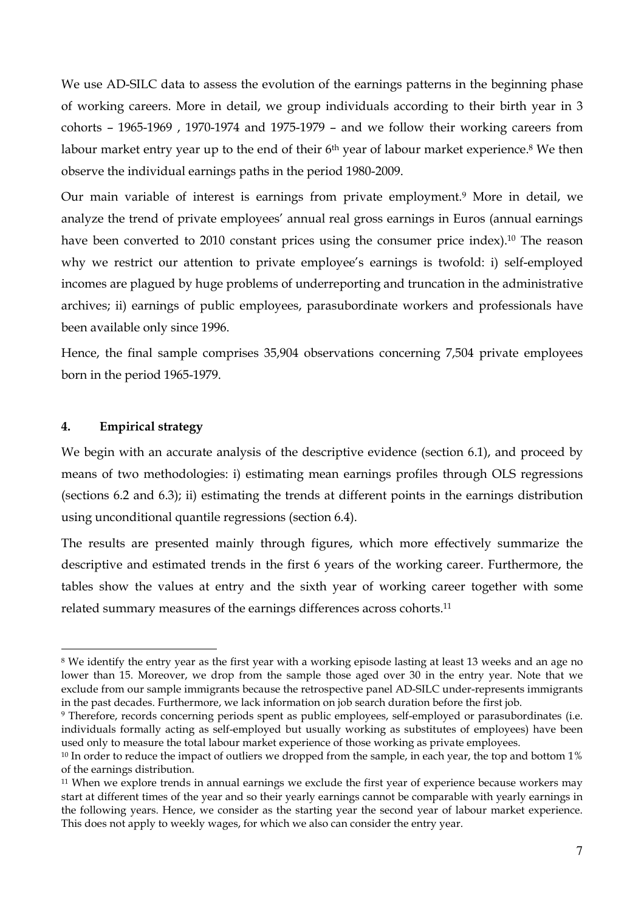We use AD-SILC data to assess the evolution of the earnings patterns in the beginning phase of working careers. More in detail, we group individuals according to their birth year in 3 cohorts – 1965-1969 , 1970-1974 and 1975-1979 – and we follow their working careers from labour market entry year up to the end of their 6<sup>th</sup> year of labour market experience.<sup>8</sup> We then observe the individual earnings paths in the period 1980-2009.

Our main variable of interest is earnings from private employment.<sup>9</sup> More in detail, we analyze the trend of private employees' annual real gross earnings in Euros (annual earnings have been converted to 2010 constant prices using the consumer price index).<sup>10</sup> The reason why we restrict our attention to private employee's earnings is twofold: i) self-employed incomes are plagued by huge problems of underreporting and truncation in the administrative archives; ii) earnings of public employees, parasubordinate workers and professionals have been available only since 1996.

Hence, the final sample comprises 35,904 observations concerning 7,504 private employees born in the period 1965-1979.

#### **4. Empirical strategy**

l

We begin with an accurate analysis of the descriptive evidence (section 6.1), and proceed by means of two methodologies: i) estimating mean earnings profiles through OLS regressions (sections 6.2 and 6.3); ii) estimating the trends at different points in the earnings distribution using unconditional quantile regressions (section 6.4).

The results are presented mainly through figures, which more effectively summarize the descriptive and estimated trends in the first 6 years of the working career. Furthermore, the tables show the values at entry and the sixth year of working career together with some related summary measures of the earnings differences across cohorts.<sup>11</sup>

<sup>8</sup> We identify the entry year as the first year with a working episode lasting at least 13 weeks and an age no lower than 15. Moreover, we drop from the sample those aged over 30 in the entry year. Note that we exclude from our sample immigrants because the retrospective panel AD-SILC under-represents immigrants in the past decades. Furthermore, we lack information on job search duration before the first job.

<sup>9</sup> Therefore, records concerning periods spent as public employees, self-employed or parasubordinates (i.e. individuals formally acting as self-employed but usually working as substitutes of employees) have been used only to measure the total labour market experience of those working as private employees.

<sup>&</sup>lt;sup>10</sup> In order to reduce the impact of outliers we dropped from the sample, in each year, the top and bottom 1% of the earnings distribution.

<sup>&</sup>lt;sup>11</sup> When we explore trends in annual earnings we exclude the first year of experience because workers may start at different times of the year and so their yearly earnings cannot be comparable with yearly earnings in the following years. Hence, we consider as the starting year the second year of labour market experience. This does not apply to weekly wages, for which we also can consider the entry year.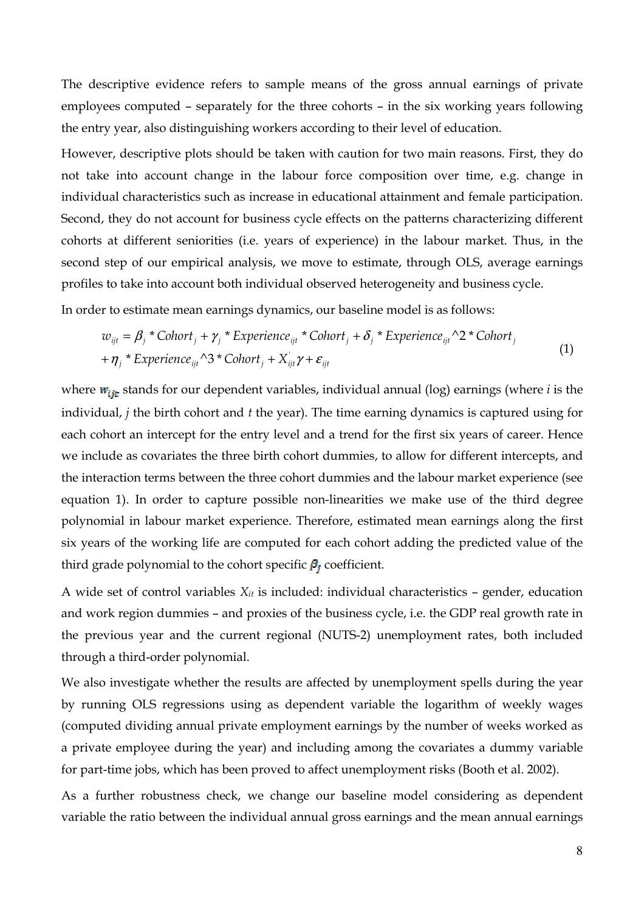The descriptive evidence refers to sample means of the gross annual earnings of private employees computed – separately for the three cohorts – in the six working years following the entry year, also distinguishing workers according to their level of education.

However, descriptive plots should be taken with caution for two main reasons. First, they do not take into account change in the labour force composition over time, e.g. change in individual characteristics such as increase in educational attainment and female participation. Second, they do not account for business cycle effects on the patterns characterizing different cohorts at different seniorities (i.e. years of experience) in the labour market. Thus, in the second step of our empirical analysis, we move to estimate, through OLS, average earnings profiles to take into account both individual observed heterogeneity and business cycle.

In order to estimate mean earnings dynamics, our baseline model is as follows:

$$
w_{ijt} = \beta_j * \text{Cohort}_j + \gamma_j * \text{ Experience}_{ijt} * \text{Cohort}_j + \delta_j * \text{ Experience}_{ijt} \wedge 2 * \text{Cohort}_j
$$
  
+  $\eta_j * \text{ Experience}_{ijt} \wedge 3 * \text{Cohort}_j + X_{ijt}^{\dagger} \gamma + \varepsilon_{ijt}$  (1)

where  $w_{\text{t}}$  stands for our dependent variables, individual annual (log) earnings (where *i* is the individual, *j* the birth cohort and *t* the year). The time earning dynamics is captured using for each cohort an intercept for the entry level and a trend for the first six years of career. Hence we include as covariates the three birth cohort dummies, to allow for different intercepts, and the interaction terms between the three cohort dummies and the labour market experience (see equation 1). In order to capture possible non-linearities we make use of the third degree polynomial in labour market experience. Therefore, estimated mean earnings along the first six years of the working life are computed for each cohort adding the predicted value of the third grade polynomial to the cohort specific  $\beta_i$  coefficient.

A wide set of control variables *Xit* is included: individual characteristics – gender, education and work region dummies – and proxies of the business cycle, i.e. the GDP real growth rate in the previous year and the current regional (NUTS-2) unemployment rates, both included through a third-order polynomial.

We also investigate whether the results are affected by unemployment spells during the year by running OLS regressions using as dependent variable the logarithm of weekly wages (computed dividing annual private employment earnings by the number of weeks worked as a private employee during the year) and including among the covariates a dummy variable for part-time jobs, which has been proved to affect unemployment risks (Booth et al. 2002).

As a further robustness check, we change our baseline model considering as dependent variable the ratio between the individual annual gross earnings and the mean annual earnings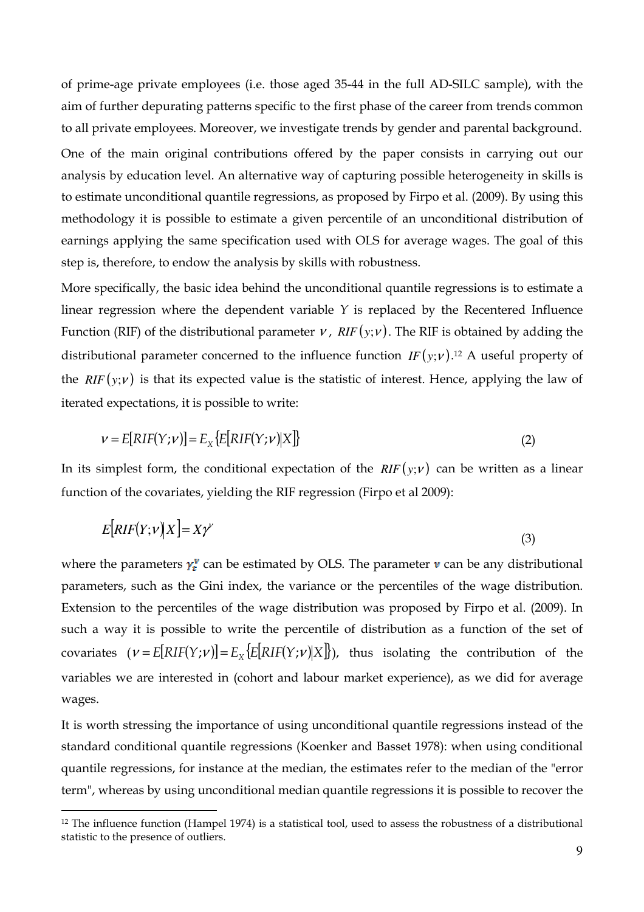of prime-age private employees (i.e. those aged 35-44 in the full AD-SILC sample), with the aim of further depurating patterns specific to the first phase of the career from trends common to all private employees. Moreover, we investigate trends by gender and parental background. One of the main original contributions offered by the paper consists in carrying out our analysis by education level. An alternative way of capturing possible heterogeneity in skills is to estimate unconditional quantile regressions, as proposed by Firpo et al. (2009). By using this methodology it is possible to estimate a given percentile of an unconditional distribution of earnings applying the same specification used with OLS for average wages. The goal of this step is, therefore, to endow the analysis by skills with robustness.

More specifically, the basic idea behind the unconditional quantile regressions is to estimate a linear regression where the dependent variable *Y* is replaced by the Recentered Influence Function (RIF) of the distributional parameter  $\nu$ ,  $RIF(y;\nu)$ . The RIF is obtained by adding the distributional parameter concerned to the influence function  $IF(y; v)$ .<sup>12</sup> A useful property of the *RIF* ( $y$ ; $v$ ) is that its expected value is the statistic of interest. Hence, applying the law of iterated expectations, it is possible to write:

$$
\mathbf{v} = E[RIF(Y; \mathbf{v})] = E_X \{ E[RIF(Y; \mathbf{v}) | X] \}
$$
\n(2)

In its simplest form, the conditional expectation of the  $RIF(y;v)$  can be written as a linear function of the covariates, yielding the RIF regression (Firpo et al 2009):

$$
E[RIF(Y;V)|X] = X\gamma^{V}
$$
\n(3)

where the parameters  $\gamma_t^{\nu}$  can be estimated by OLS. The parameter  $\nu$  can be any distributional parameters, such as the Gini index, the variance or the percentiles of the wage distribution. Extension to the percentiles of the wage distribution was proposed by Firpo et al. (2009). In such a way it is possible to write the percentile of distribution as a function of the set of covariates  $(V = E[RIF(Y;V)] = E_X\{E[RIF(Y;V)|X]\}$ , thus isolating the contribution of the variables we are interested in (cohort and labour market experience), as we did for average wages.

It is worth stressing the importance of using unconditional quantile regressions instead of the standard conditional quantile regressions (Koenker and Basset 1978): when using conditional quantile regressions, for instance at the median, the estimates refer to the median of the "error term", whereas by using unconditional median quantile regressions it is possible to recover the

l

 $12$  The influence function (Hampel 1974) is a statistical tool, used to assess the robustness of a distributional statistic to the presence of outliers.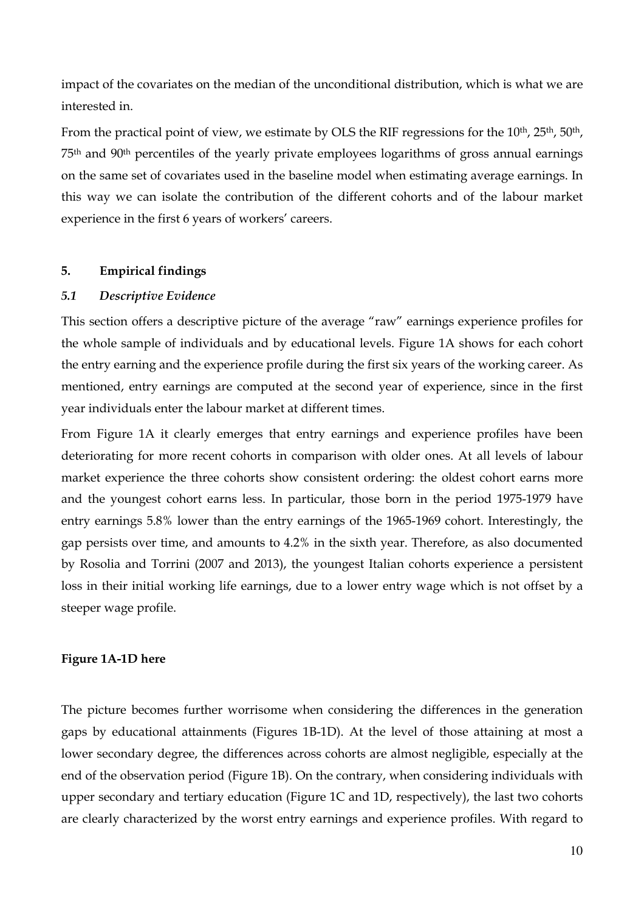impact of the covariates on the median of the unconditional distribution, which is what we are interested in.

From the practical point of view, we estimate by OLS the RIF regressions for the 10<sup>th</sup>, 25<sup>th</sup>, 50<sup>th</sup>, 75th and 90th percentiles of the yearly private employees logarithms of gross annual earnings on the same set of covariates used in the baseline model when estimating average earnings. In this way we can isolate the contribution of the different cohorts and of the labour market experience in the first 6 years of workers' careers.

#### **5. Empirical findings**

#### *5.1 Descriptive Evidence*

This section offers a descriptive picture of the average "raw" earnings experience profiles for the whole sample of individuals and by educational levels. Figure 1A shows for each cohort the entry earning and the experience profile during the first six years of the working career. As mentioned, entry earnings are computed at the second year of experience, since in the first year individuals enter the labour market at different times.

From Figure 1A it clearly emerges that entry earnings and experience profiles have been deteriorating for more recent cohorts in comparison with older ones. At all levels of labour market experience the three cohorts show consistent ordering: the oldest cohort earns more and the youngest cohort earns less. In particular, those born in the period 1975-1979 have entry earnings 5.8% lower than the entry earnings of the 1965-1969 cohort. Interestingly, the gap persists over time, and amounts to 4.2% in the sixth year. Therefore, as also documented by Rosolia and Torrini (2007 and 2013), the youngest Italian cohorts experience a persistent loss in their initial working life earnings, due to a lower entry wage which is not offset by a steeper wage profile.

#### **Figure 1A-1D here**

The picture becomes further worrisome when considering the differences in the generation gaps by educational attainments (Figures 1B-1D). At the level of those attaining at most a lower secondary degree, the differences across cohorts are almost negligible, especially at the end of the observation period (Figure 1B). On the contrary, when considering individuals with upper secondary and tertiary education (Figure 1C and 1D, respectively), the last two cohorts are clearly characterized by the worst entry earnings and experience profiles. With regard to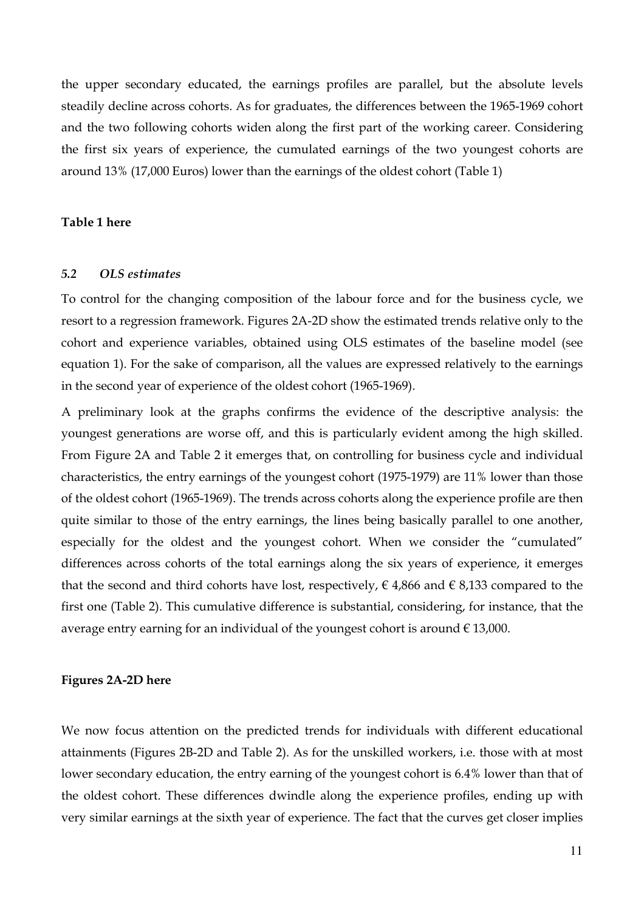the upper secondary educated, the earnings profiles are parallel, but the absolute levels steadily decline across cohorts. As for graduates, the differences between the 1965-1969 cohort and the two following cohorts widen along the first part of the working career. Considering the first six years of experience, the cumulated earnings of the two youngest cohorts are around 13% (17,000 Euros) lower than the earnings of the oldest cohort (Table 1)

#### **Table 1 here**

#### *5.2 OLS estimates*

To control for the changing composition of the labour force and for the business cycle, we resort to a regression framework. Figures 2A-2D show the estimated trends relative only to the cohort and experience variables, obtained using OLS estimates of the baseline model (see equation 1). For the sake of comparison, all the values are expressed relatively to the earnings in the second year of experience of the oldest cohort (1965-1969).

A preliminary look at the graphs confirms the evidence of the descriptive analysis: the youngest generations are worse off, and this is particularly evident among the high skilled. From Figure 2A and Table 2 it emerges that, on controlling for business cycle and individual characteristics, the entry earnings of the youngest cohort (1975-1979) are 11% lower than those of the oldest cohort (1965-1969). The trends across cohorts along the experience profile are then quite similar to those of the entry earnings, the lines being basically parallel to one another, especially for the oldest and the youngest cohort. When we consider the "cumulated" differences across cohorts of the total earnings along the six years of experience, it emerges that the second and third cohorts have lost, respectively,  $\epsilon$  4,866 and  $\epsilon$  8,133 compared to the first one (Table 2). This cumulative difference is substantial, considering, for instance, that the average entry earning for an individual of the youngest cohort is around  $\epsilon$  13,000.

#### **Figures 2A-2D here**

We now focus attention on the predicted trends for individuals with different educational attainments (Figures 2B-2D and Table 2). As for the unskilled workers, i.e. those with at most lower secondary education, the entry earning of the youngest cohort is 6.4% lower than that of the oldest cohort. These differences dwindle along the experience profiles, ending up with very similar earnings at the sixth year of experience. The fact that the curves get closer implies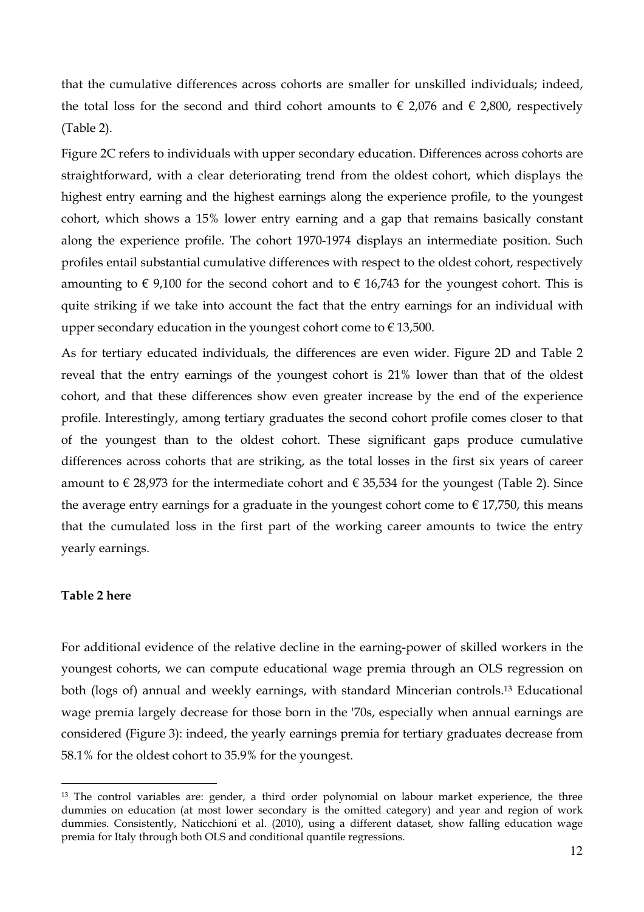that the cumulative differences across cohorts are smaller for unskilled individuals; indeed, the total loss for the second and third cohort amounts to  $\epsilon$  2,076 and  $\epsilon$  2,800, respectively (Table 2).

Figure 2C refers to individuals with upper secondary education. Differences across cohorts are straightforward, with a clear deteriorating trend from the oldest cohort, which displays the highest entry earning and the highest earnings along the experience profile, to the youngest cohort, which shows a 15% lower entry earning and a gap that remains basically constant along the experience profile. The cohort 1970-1974 displays an intermediate position. Such profiles entail substantial cumulative differences with respect to the oldest cohort, respectively amounting to  $\epsilon$  9,100 for the second cohort and to  $\epsilon$  16,743 for the youngest cohort. This is quite striking if we take into account the fact that the entry earnings for an individual with upper secondary education in the youngest cohort come to  $\epsilon$  13,500.

As for tertiary educated individuals, the differences are even wider. Figure 2D and Table 2 reveal that the entry earnings of the youngest cohort is 21% lower than that of the oldest cohort, and that these differences show even greater increase by the end of the experience profile. Interestingly, among tertiary graduates the second cohort profile comes closer to that of the youngest than to the oldest cohort. These significant gaps produce cumulative differences across cohorts that are striking, as the total losses in the first six years of career amount to  $\in$  28,973 for the intermediate cohort and  $\in$  35,534 for the youngest (Table 2). Since the average entry earnings for a graduate in the youngest cohort come to  $\epsilon$  17,750, this means that the cumulated loss in the first part of the working career amounts to twice the entry yearly earnings.

#### **Table 2 here**

l

For additional evidence of the relative decline in the earning-power of skilled workers in the youngest cohorts, we can compute educational wage premia through an OLS regression on both (logs of) annual and weekly earnings, with standard Mincerian controls.<sup>13</sup> Educational wage premia largely decrease for those born in the '70s, especially when annual earnings are considered (Figure 3): indeed, the yearly earnings premia for tertiary graduates decrease from 58.1% for the oldest cohort to 35.9% for the youngest.

<sup>&</sup>lt;sup>13</sup> The control variables are: gender, a third order polynomial on labour market experience, the three dummies on education (at most lower secondary is the omitted category) and year and region of work dummies. Consistently, Naticchioni et al. (2010), using a different dataset, show falling education wage premia for Italy through both OLS and conditional quantile regressions.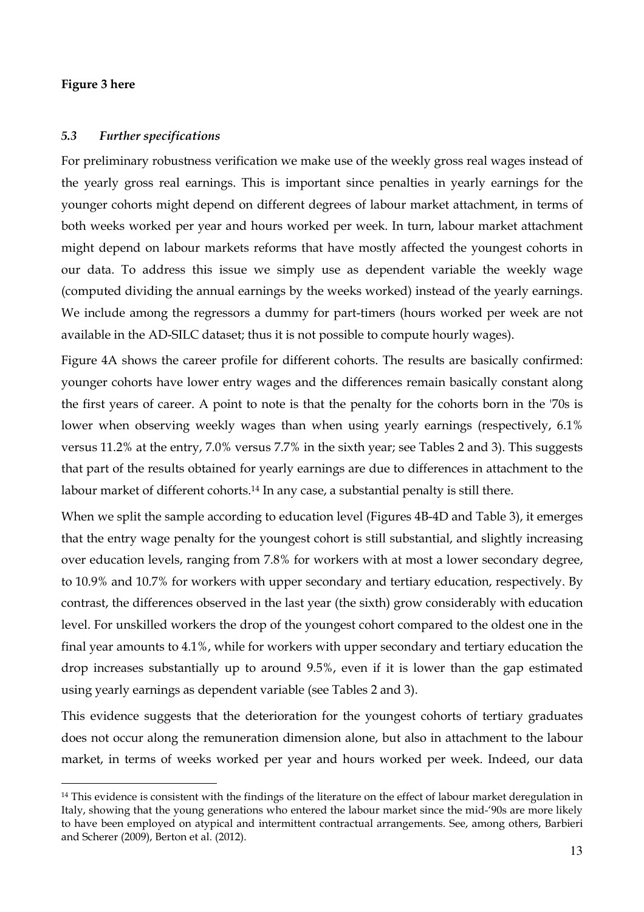#### **Figure 3 here**

l

#### *5.3 Further specifications*

For preliminary robustness verification we make use of the weekly gross real wages instead of the yearly gross real earnings. This is important since penalties in yearly earnings for the younger cohorts might depend on different degrees of labour market attachment, in terms of both weeks worked per year and hours worked per week. In turn, labour market attachment might depend on labour markets reforms that have mostly affected the youngest cohorts in our data. To address this issue we simply use as dependent variable the weekly wage (computed dividing the annual earnings by the weeks worked) instead of the yearly earnings. We include among the regressors a dummy for part-timers (hours worked per week are not available in the AD-SILC dataset; thus it is not possible to compute hourly wages).

Figure 4A shows the career profile for different cohorts. The results are basically confirmed: younger cohorts have lower entry wages and the differences remain basically constant along the first years of career. A point to note is that the penalty for the cohorts born in the '70s is lower when observing weekly wages than when using yearly earnings (respectively, 6.1% versus 11.2% at the entry, 7.0% versus 7.7% in the sixth year; see Tables 2 and 3). This suggests that part of the results obtained for yearly earnings are due to differences in attachment to the labour market of different cohorts.<sup>14</sup> In any case, a substantial penalty is still there.

When we split the sample according to education level (Figures 4B-4D and Table 3), it emerges that the entry wage penalty for the youngest cohort is still substantial, and slightly increasing over education levels, ranging from 7.8% for workers with at most a lower secondary degree, to 10.9% and 10.7% for workers with upper secondary and tertiary education, respectively. By contrast, the differences observed in the last year (the sixth) grow considerably with education level. For unskilled workers the drop of the youngest cohort compared to the oldest one in the final year amounts to 4.1%, while for workers with upper secondary and tertiary education the drop increases substantially up to around 9.5%, even if it is lower than the gap estimated using yearly earnings as dependent variable (see Tables 2 and 3).

This evidence suggests that the deterioration for the youngest cohorts of tertiary graduates does not occur along the remuneration dimension alone, but also in attachment to the labour market, in terms of weeks worked per year and hours worked per week. Indeed, our data

<sup>&</sup>lt;sup>14</sup> This evidence is consistent with the findings of the literature on the effect of labour market deregulation in Italy, showing that the young generations who entered the labour market since the mid-'90s are more likely to have been employed on atypical and intermittent contractual arrangements. See, among others, Barbieri and Scherer (2009), Berton et al. (2012).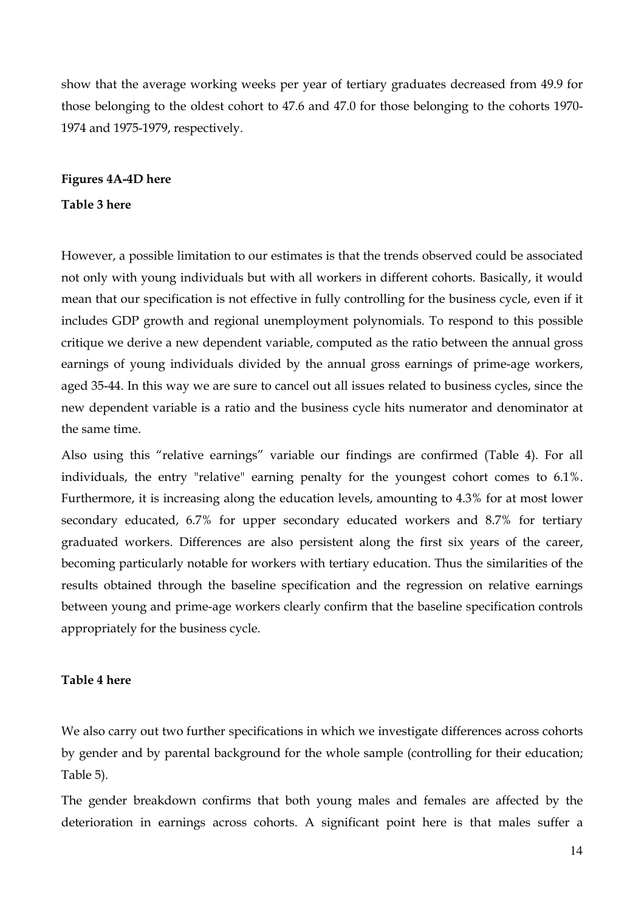show that the average working weeks per year of tertiary graduates decreased from 49.9 for those belonging to the oldest cohort to 47.6 and 47.0 for those belonging to the cohorts 1970- 1974 and 1975-1979, respectively.

#### **Figures 4A-4D here**

#### **Table 3 here**

However, a possible limitation to our estimates is that the trends observed could be associated not only with young individuals but with all workers in different cohorts. Basically, it would mean that our specification is not effective in fully controlling for the business cycle, even if it includes GDP growth and regional unemployment polynomials. To respond to this possible critique we derive a new dependent variable, computed as the ratio between the annual gross earnings of young individuals divided by the annual gross earnings of prime-age workers, aged 35-44. In this way we are sure to cancel out all issues related to business cycles, since the new dependent variable is a ratio and the business cycle hits numerator and denominator at the same time.

Also using this "relative earnings" variable our findings are confirmed (Table 4). For all individuals, the entry "relative" earning penalty for the youngest cohort comes to 6.1%. Furthermore, it is increasing along the education levels, amounting to 4.3% for at most lower secondary educated, 6.7% for upper secondary educated workers and 8.7% for tertiary graduated workers. Differences are also persistent along the first six years of the career, becoming particularly notable for workers with tertiary education. Thus the similarities of the results obtained through the baseline specification and the regression on relative earnings between young and prime-age workers clearly confirm that the baseline specification controls appropriately for the business cycle.

#### **Table 4 here**

We also carry out two further specifications in which we investigate differences across cohorts by gender and by parental background for the whole sample (controlling for their education; Table 5).

The gender breakdown confirms that both young males and females are affected by the deterioration in earnings across cohorts. A significant point here is that males suffer a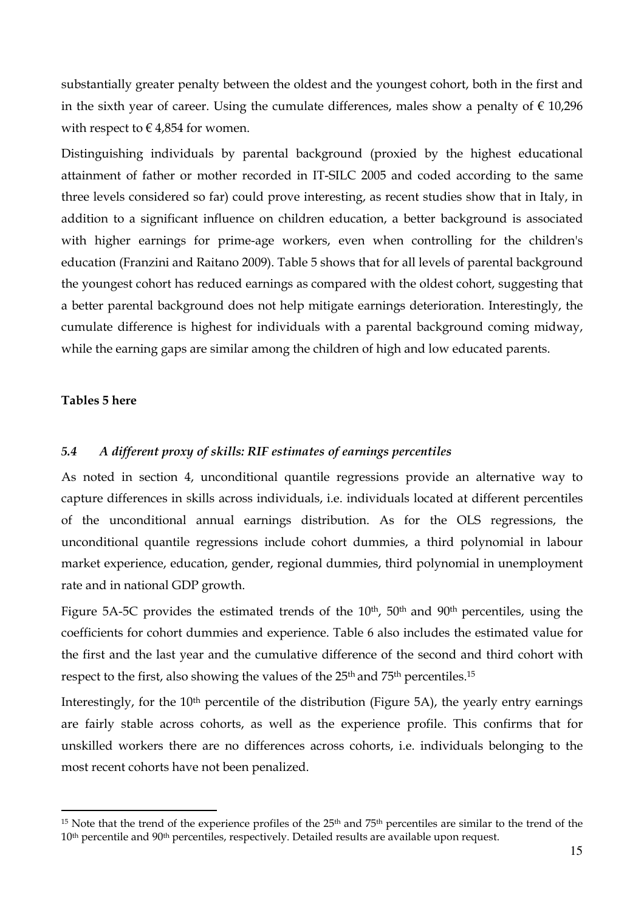substantially greater penalty between the oldest and the youngest cohort, both in the first and in the sixth year of career. Using the cumulate differences, males show a penalty of  $\epsilon$  10,296 with respect to  $\in$  4,854 for women.

Distinguishing individuals by parental background (proxied by the highest educational attainment of father or mother recorded in IT-SILC 2005 and coded according to the same three levels considered so far) could prove interesting, as recent studies show that in Italy, in addition to a significant influence on children education, a better background is associated with higher earnings for prime-age workers, even when controlling for the children's education (Franzini and Raitano 2009). Table 5 shows that for all levels of parental background the youngest cohort has reduced earnings as compared with the oldest cohort, suggesting that a better parental background does not help mitigate earnings deterioration. Interestingly, the cumulate difference is highest for individuals with a parental background coming midway, while the earning gaps are similar among the children of high and low educated parents.

#### **Tables 5 here**

l

#### *5.4 A different proxy of skills: RIF estimates of earnings percentiles*

As noted in section 4, unconditional quantile regressions provide an alternative way to capture differences in skills across individuals, i.e. individuals located at different percentiles of the unconditional annual earnings distribution. As for the OLS regressions, the unconditional quantile regressions include cohort dummies, a third polynomial in labour market experience, education, gender, regional dummies, third polynomial in unemployment rate and in national GDP growth.

Figure 5A-5C provides the estimated trends of the  $10^{\text{th}}$ , 50<sup>th</sup> and 90<sup>th</sup> percentiles, using the coefficients for cohort dummies and experience. Table 6 also includes the estimated value for the first and the last year and the cumulative difference of the second and third cohort with respect to the first, also showing the values of the 25<sup>th</sup> and 75<sup>th</sup> percentiles.<sup>15</sup>

Interestingly, for the 10<sup>th</sup> percentile of the distribution (Figure 5A), the yearly entry earnings are fairly stable across cohorts, as well as the experience profile. This confirms that for unskilled workers there are no differences across cohorts, i.e. individuals belonging to the most recent cohorts have not been penalized.

<sup>&</sup>lt;sup>15</sup> Note that the trend of the experience profiles of the 25<sup>th</sup> and 75<sup>th</sup> percentiles are similar to the trend of the 10<sup>th</sup> percentile and 90<sup>th</sup> percentiles, respectively. Detailed results are available upon request.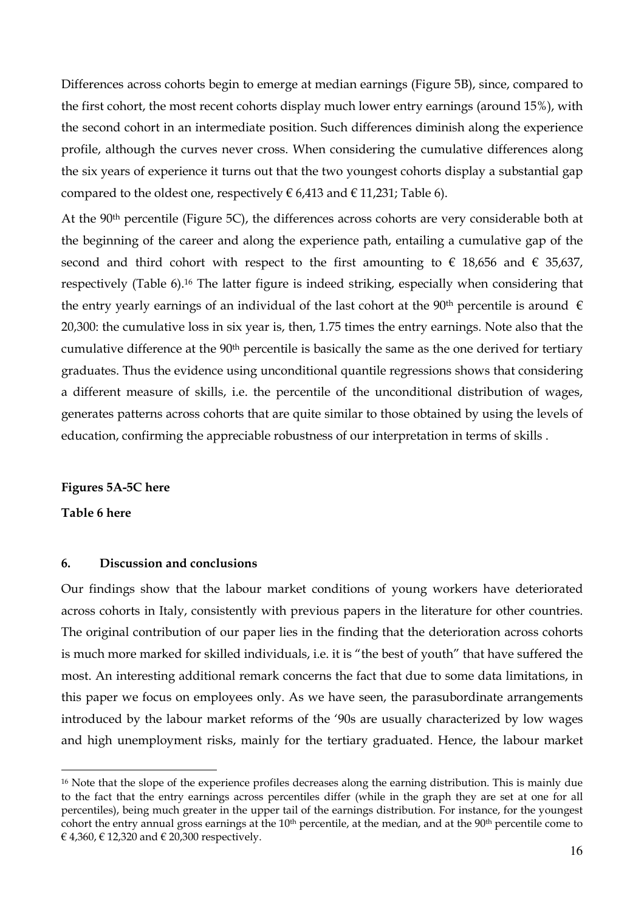Differences across cohorts begin to emerge at median earnings (Figure 5B), since, compared to the first cohort, the most recent cohorts display much lower entry earnings (around 15%), with the second cohort in an intermediate position. Such differences diminish along the experience profile, although the curves never cross. When considering the cumulative differences along the six years of experience it turns out that the two youngest cohorts display a substantial gap compared to the oldest one, respectively  $\in 6,413$  and  $\in 11,231$ ; Table 6).

At the 90<sup>th</sup> percentile (Figure 5C), the differences across cohorts are very considerable both at the beginning of the career and along the experience path, entailing a cumulative gap of the second and third cohort with respect to the first amounting to  $\epsilon$  18,656 and  $\epsilon$  35,637, respectively (Table 6).<sup>16</sup> The latter figure is indeed striking, especially when considering that the entry yearly earnings of an individual of the last cohort at the 90<sup>th</sup> percentile is around  $\epsilon$ 20,300: the cumulative loss in six year is, then, 1.75 times the entry earnings. Note also that the cumulative difference at the 90<sup>th</sup> percentile is basically the same as the one derived for tertiary graduates. Thus the evidence using unconditional quantile regressions shows that considering a different measure of skills, i.e. the percentile of the unconditional distribution of wages, generates patterns across cohorts that are quite similar to those obtained by using the levels of education, confirming the appreciable robustness of our interpretation in terms of skills .

#### **Figures 5A-5C here**

#### **Table 6 here**

l

#### **6. Discussion and conclusions**

Our findings show that the labour market conditions of young workers have deteriorated across cohorts in Italy, consistently with previous papers in the literature for other countries. The original contribution of our paper lies in the finding that the deterioration across cohorts is much more marked for skilled individuals, i.e. it is "the best of youth" that have suffered the most. An interesting additional remark concerns the fact that due to some data limitations, in this paper we focus on employees only. As we have seen, the parasubordinate arrangements introduced by the labour market reforms of the '90s are usually characterized by low wages and high unemployment risks, mainly for the tertiary graduated. Hence, the labour market

<sup>&</sup>lt;sup>16</sup> Note that the slope of the experience profiles decreases along the earning distribution. This is mainly due to the fact that the entry earnings across percentiles differ (while in the graph they are set at one for all percentiles), being much greater in the upper tail of the earnings distribution. For instance, for the youngest cohort the entry annual gross earnings at the  $10<sup>th</sup>$  percentile, at the median, and at the  $90<sup>th</sup>$  percentile come to € 4,360, € 12,320 and € 20,300 respectively.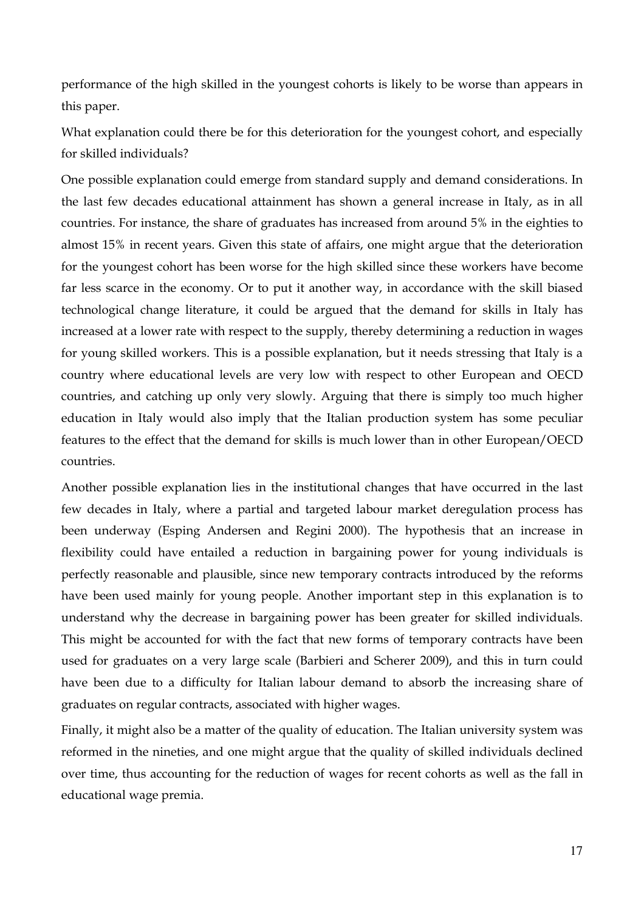performance of the high skilled in the youngest cohorts is likely to be worse than appears in this paper.

What explanation could there be for this deterioration for the youngest cohort, and especially for skilled individuals?

One possible explanation could emerge from standard supply and demand considerations. In the last few decades educational attainment has shown a general increase in Italy, as in all countries. For instance, the share of graduates has increased from around 5% in the eighties to almost 15% in recent years. Given this state of affairs, one might argue that the deterioration for the youngest cohort has been worse for the high skilled since these workers have become far less scarce in the economy. Or to put it another way, in accordance with the skill biased technological change literature, it could be argued that the demand for skills in Italy has increased at a lower rate with respect to the supply, thereby determining a reduction in wages for young skilled workers. This is a possible explanation, but it needs stressing that Italy is a country where educational levels are very low with respect to other European and OECD countries, and catching up only very slowly. Arguing that there is simply too much higher education in Italy would also imply that the Italian production system has some peculiar features to the effect that the demand for skills is much lower than in other European/OECD countries.

Another possible explanation lies in the institutional changes that have occurred in the last few decades in Italy, where a partial and targeted labour market deregulation process has been underway (Esping Andersen and Regini 2000). The hypothesis that an increase in flexibility could have entailed a reduction in bargaining power for young individuals is perfectly reasonable and plausible, since new temporary contracts introduced by the reforms have been used mainly for young people. Another important step in this explanation is to understand why the decrease in bargaining power has been greater for skilled individuals. This might be accounted for with the fact that new forms of temporary contracts have been used for graduates on a very large scale (Barbieri and Scherer 2009), and this in turn could have been due to a difficulty for Italian labour demand to absorb the increasing share of graduates on regular contracts, associated with higher wages.

Finally, it might also be a matter of the quality of education. The Italian university system was reformed in the nineties, and one might argue that the quality of skilled individuals declined over time, thus accounting for the reduction of wages for recent cohorts as well as the fall in educational wage premia.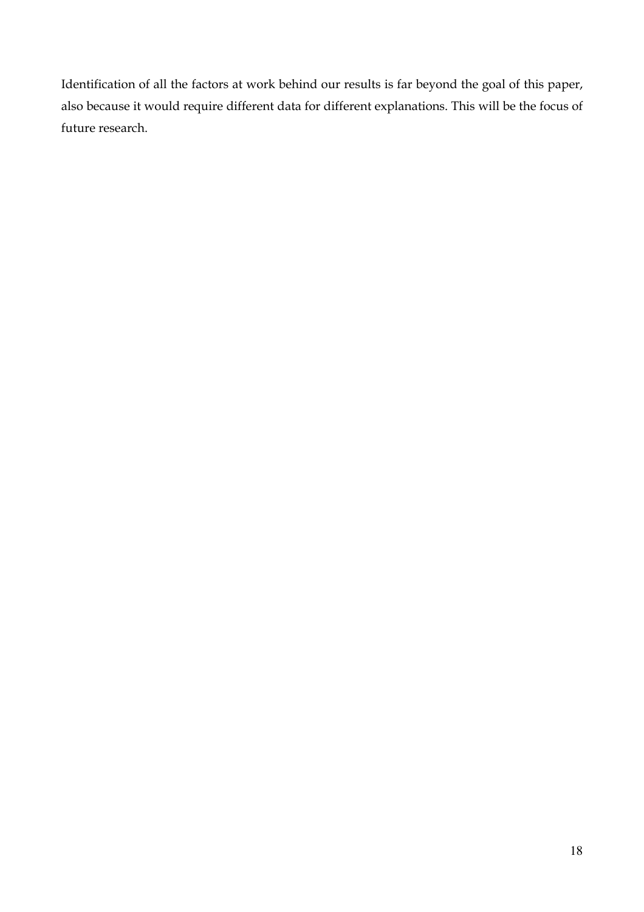Identification of all the factors at work behind our results is far beyond the goal of this paper, also because it would require different data for different explanations. This will be the focus of future research.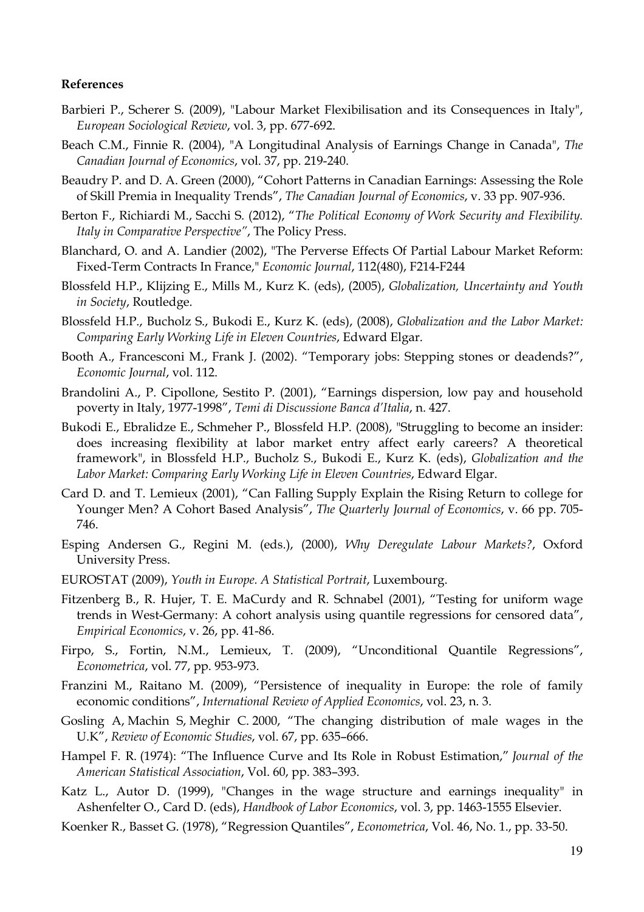#### **References**

- Barbieri P., Scherer S. (2009), "Labour Market Flexibilisation and its Consequences in Italy", *European Sociological Review*, vol. 3, pp. 677-692.
- Beach C.M., Finnie R. (2004), "A Longitudinal Analysis of Earnings Change in Canada", *The Canadian Journal of Economics*, vol. 37, pp. 219-240.
- Beaudry P. and D. A. Green (2000), "Cohort Patterns in Canadian Earnings: Assessing the Role of Skill Premia in Inequality Trends", *The Canadian Journal of Economics*, v. 33 pp. 907-936.
- Berton F., Richiardi M., Sacchi S. (2012), "*The Political Economy of Work Security and Flexibility. Italy in Comparative Perspective"*, The Policy Press.
- Blanchard, O. and A. Landier (2002), "The Perverse Effects Of Partial Labour Market Reform: Fixed-Term Contracts In France," *Economic Journal*, 112(480), F214-F244
- Blossfeld H.P., Klijzing E., Mills M., Kurz K. (eds), (2005), *Globalization, Uncertainty and Youth in Society*, Routledge.
- Blossfeld H.P., Bucholz S., Bukodi E., Kurz K. (eds), (2008), *Globalization and the Labor Market: Comparing Early Working Life in Eleven Countries*, Edward Elgar.
- Booth A., Francesconi M., Frank J. (2002). "Temporary jobs: Stepping stones or deadends?", *Economic Journal*, vol. 112.
- Brandolini A., P. Cipollone, Sestito P. (2001), "Earnings dispersion, low pay and household poverty in Italy, 1977-1998", *Temi di Discussione Banca d'Italia*, n. 427.
- Bukodi E., Ebralidze E., Schmeher P., Blossfeld H.P. (2008), "Struggling to become an insider: does increasing flexibility at labor market entry affect early careers? A theoretical framework", in Blossfeld H.P., Bucholz S., Bukodi E., Kurz K. (eds), *Globalization and the Labor Market: Comparing Early Working Life in Eleven Countries*, Edward Elgar.
- Card D. and T. Lemieux (2001), "Can Falling Supply Explain the Rising Return to college for Younger Men? A Cohort Based Analysis", *The Quarterly Journal of Economics*, v. 66 pp. 705- 746.
- Esping Andersen G., Regini M. (eds.), (2000), *Why Deregulate Labour Markets?*, Oxford University Press.
- EUROSTAT (2009), *Youth in Europe. A Statistical Portrait*, Luxembourg.
- Fitzenberg B., R. Hujer, T. E. MaCurdy and R. Schnabel (2001), "Testing for uniform wage trends in West-Germany: A cohort analysis using quantile regressions for censored data", *Empirical Economics*, v. 26, pp. 41-86.
- Firpo, S., Fortin, N.M., Lemieux, T. (2009), "Unconditional Quantile Regressions", *Econometrica*, vol. 77, pp. 953-973.
- Franzini M., Raitano M. (2009), "Persistence of inequality in Europe: the role of family economic conditions", *International Review of Applied Economics*, vol. 23, n. 3.
- Gosling A, Machin S, Meghir C. 2000, "The changing distribution of male wages in the U.K", *Review of Economic Studies*, vol. 67, pp. 635–666.
- Hampel F. R. (1974): "The Influence Curve and Its Role in Robust Estimation," *Journal of the American Statistical Association*, Vol. 60, pp. 383–393.
- Katz L., Autor D. (1999), "Changes in the wage structure and earnings inequality" in Ashenfelter O., Card D. (eds), *Handbook of Labor Economics*, vol. 3, pp. 1463-1555 Elsevier.
- Koenker R., Basset G. (1978), "Regression Quantiles", *Econometrica*, Vol. 46, No. 1., pp. 33-50.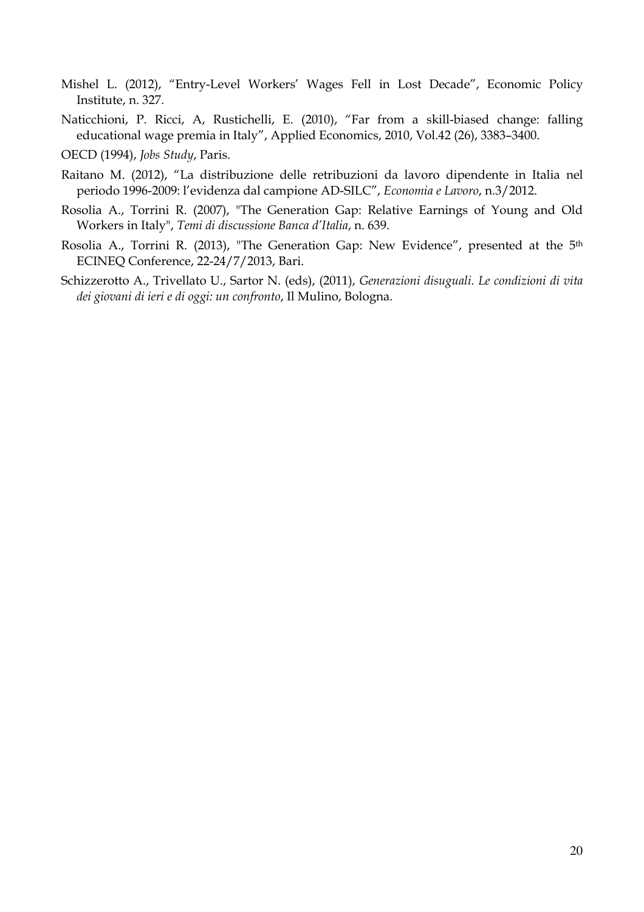- Mishel L. (2012), "Entry-Level Workers' Wages Fell in Lost Decade", Economic Policy Institute, n. 327.
- Naticchioni, P. Ricci, A, Rustichelli, E. (2010), "Far from a skill-biased change: falling educational wage premia in Italy", Applied Economics, 2010, Vol.42 (26), 3383–3400.
- OECD (1994), *Jobs Study*, Paris.
- Raitano M. (2012), "La distribuzione delle retribuzioni da lavoro dipendente in Italia nel periodo 1996-2009: l'evidenza dal campione AD-SILC", *Economia e Lavoro*, n.3/2012.
- Rosolia A., Torrini R. (2007), "The Generation Gap: Relative Earnings of Young and Old Workers in Italy", *Temi di discussione Banca d'Italia*, n. 639.
- Rosolia A., Torrini R. (2013), "The Generation Gap: New Evidence", presented at the 5<sup>th</sup> ECINEQ Conference, 22-24/7/2013, Bari.
- Schizzerotto A., Trivellato U., Sartor N. (eds), (2011), *Generazioni disuguali. Le condizioni di vita dei giovani di ieri e di oggi: un confronto*, Il Mulino, Bologna.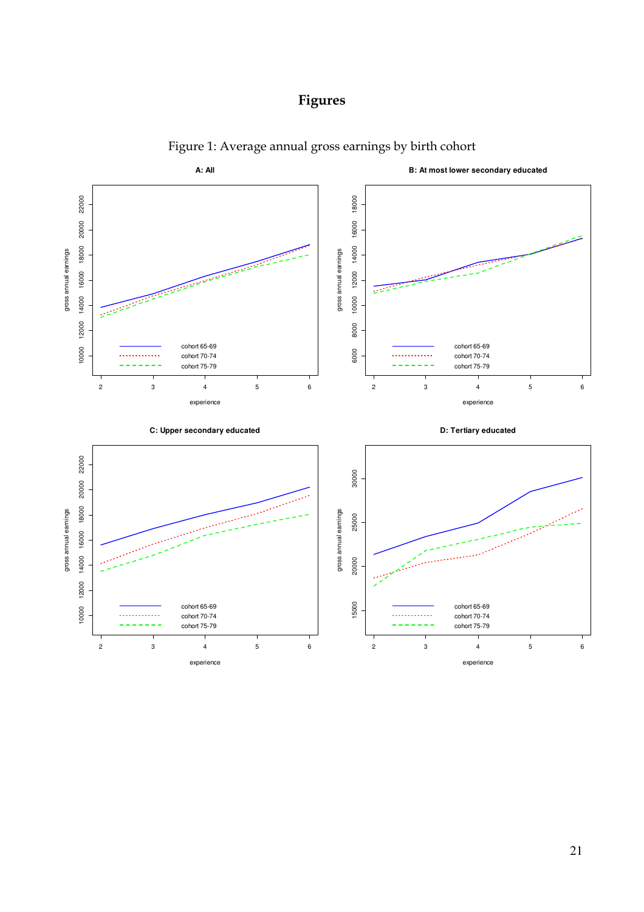



Figure 1: Average annual gross earnings by birth cohort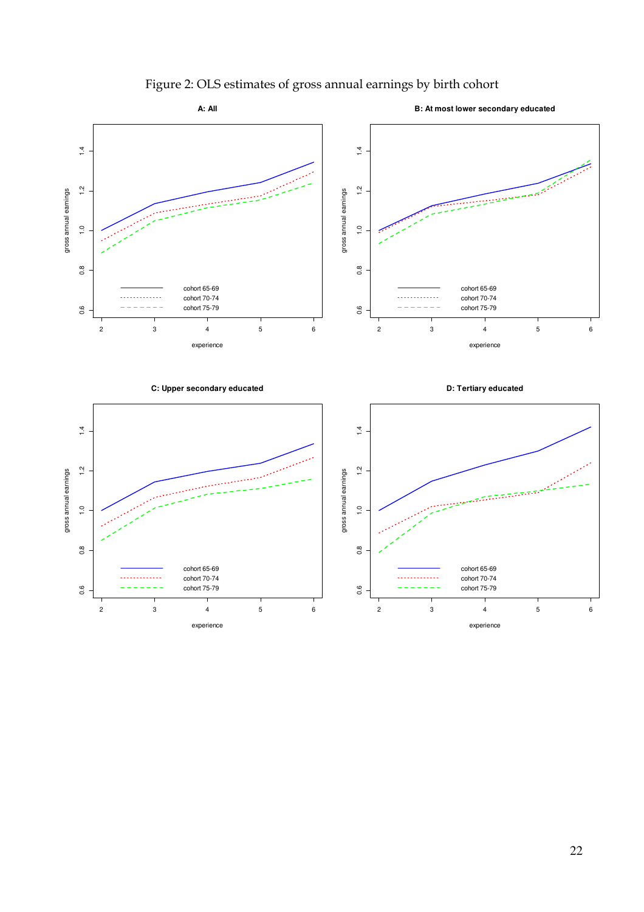

## Figure 2: OLS estimates of gross annual earnings by birth cohort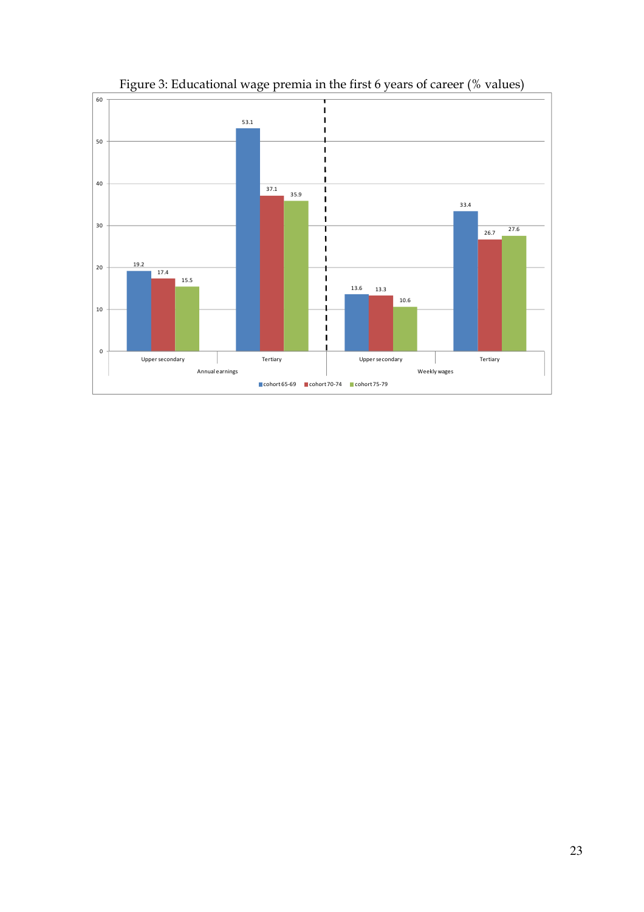

Figure 3: Educational wage premia in the first 6 years of career (% values)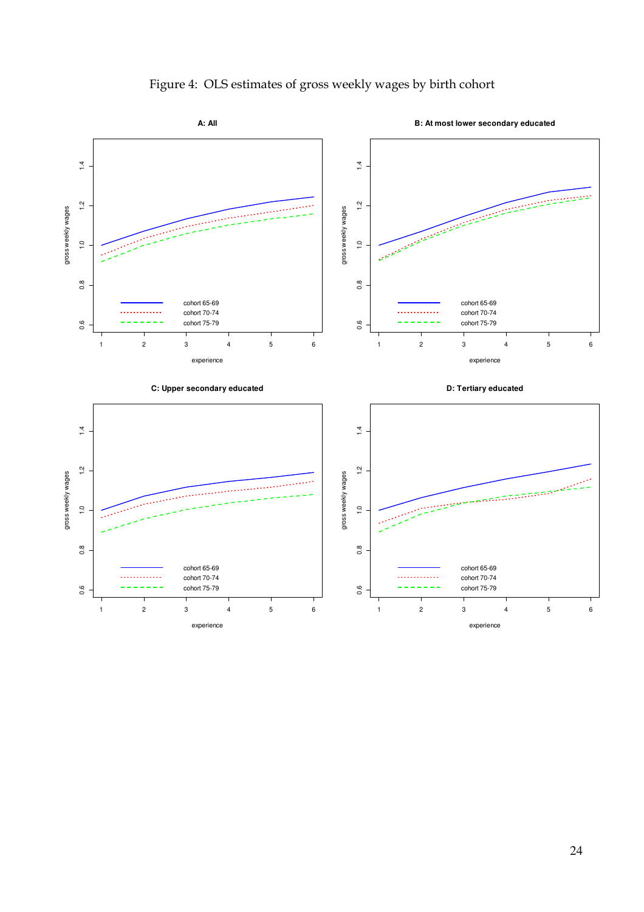

Figure 4: OLS estimates of gross weekly wages by birth cohort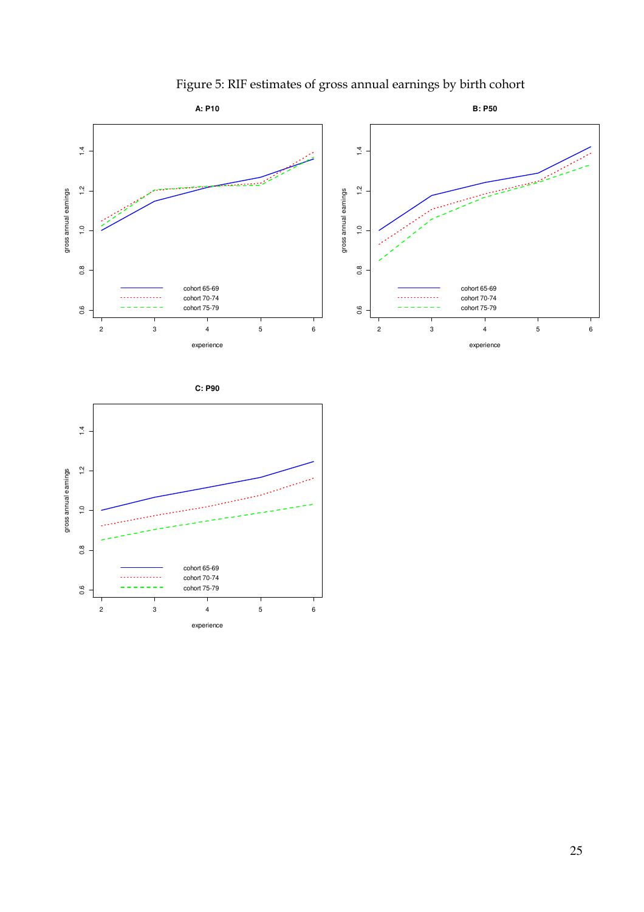

Figure 5: RIF estimates of gross annual earnings by birth cohort

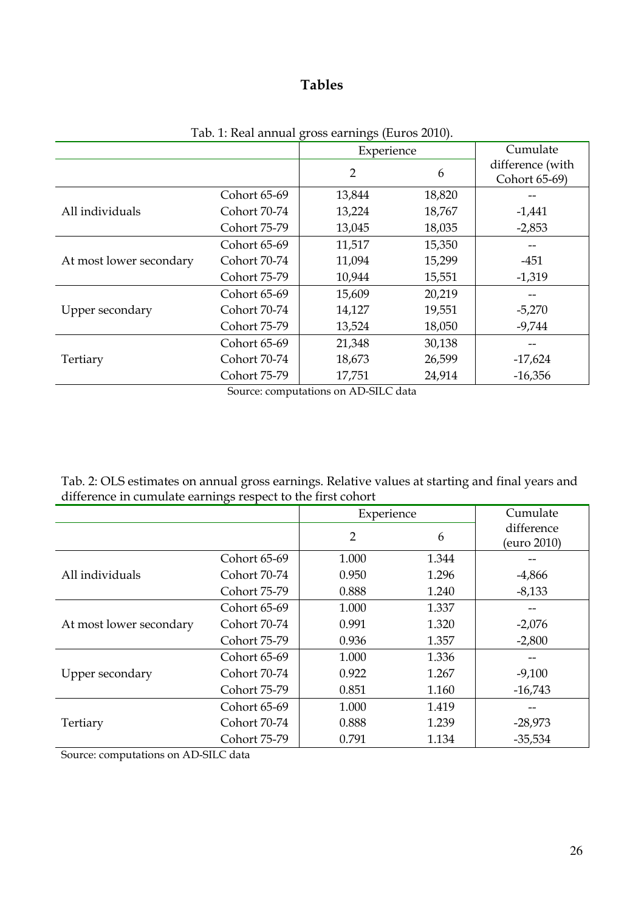## **Tables**

| $100.1.1001$ and $6000$ carrings $(2000)$ =0.10). |              |            |        |                                   |
|---------------------------------------------------|--------------|------------|--------|-----------------------------------|
|                                                   |              | Experience |        | Cumulate                          |
|                                                   |              | 2          | 6      | difference (with<br>Cohort 65-69) |
|                                                   | Cohort 65-69 | 13,844     | 18,820 |                                   |
| All individuals                                   | Cohort 70-74 | 13,224     | 18,767 | $-1,441$                          |
|                                                   | Cohort 75-79 | 13,045     | 18,035 | $-2,853$                          |
| At most lower secondary                           | Cohort 65-69 | 11,517     | 15,350 |                                   |
|                                                   | Cohort 70-74 | 11,094     | 15,299 | $-451$                            |
|                                                   | Cohort 75-79 | 10,944     | 15,551 | $-1,319$                          |
| Upper secondary                                   | Cohort 65-69 | 15,609     | 20,219 |                                   |
|                                                   | Cohort 70-74 | 14,127     | 19,551 | $-5,270$                          |
|                                                   | Cohort 75-79 | 13,524     | 18,050 | $-9,744$                          |
|                                                   | Cohort 65-69 | 21,348     | 30,138 |                                   |
| Tertiary                                          | Cohort 70-74 | 18,673     | 26,599 | $-17,624$                         |
|                                                   | Cohort 75-79 | 17,751     | 24,914 | $-16,356$                         |

Tab. 1: Real annual gross earnings (Euros 2010).

Source: computations on AD-SILC data

| Tab. 2: OLS estimates on annual gross earnings. Relative values at starting and final years and |
|-------------------------------------------------------------------------------------------------|
| difference in cumulate earnings respect to the first cohort                                     |

|                         |              | Experience     |       | Cumulate    |
|-------------------------|--------------|----------------|-------|-------------|
|                         |              | $\overline{2}$ | 6     | difference  |
|                         |              |                |       | (euro 2010) |
|                         | Cohort 65-69 | 1.000          | 1.344 |             |
| All individuals         | Cohort 70-74 | 0.950          | 1.296 | $-4,866$    |
|                         | Cohort 75-79 | 0.888          | 1.240 | $-8,133$    |
| At most lower secondary | Cohort 65-69 | 1.000          | 1.337 |             |
|                         | Cohort 70-74 | 0.991          | 1.320 | $-2,076$    |
|                         | Cohort 75-79 | 0.936          | 1.357 | $-2,800$    |
|                         | Cohort 65-69 | 1.000          | 1.336 |             |
| Upper secondary         | Cohort 70-74 | 0.922          | 1.267 | $-9,100$    |
|                         | Cohort 75-79 | 0.851          | 1.160 | $-16,743$   |
|                         | Cohort 65-69 | 1.000          | 1.419 |             |
| Tertiary                | Cohort 70-74 | 0.888          | 1.239 | $-28,973$   |
|                         | Cohort 75-79 | 0.791          | 1.134 | $-35,534$   |

Source: computations on AD-SILC data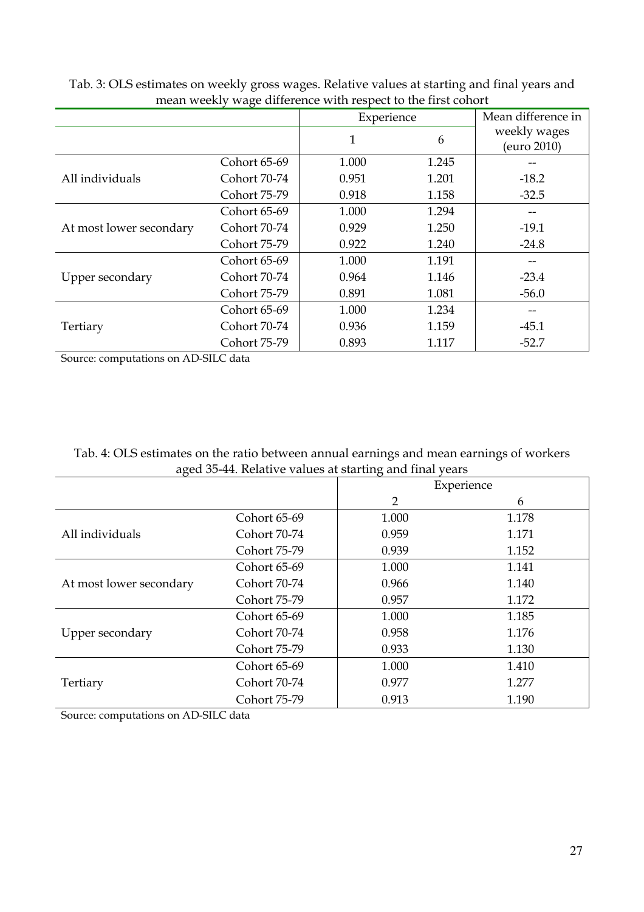| mean weekly wage uniclence while respect to the mot conort |              |            |       |                             |  |
|------------------------------------------------------------|--------------|------------|-------|-----------------------------|--|
|                                                            |              | Experience |       | Mean difference in          |  |
|                                                            |              | 1          | 6     | weekly wages<br>(euro 2010) |  |
|                                                            | Cohort 65-69 | 1.000      | 1.245 |                             |  |
| All individuals                                            | Cohort 70-74 | 0.951      | 1.201 | $-18.2$                     |  |
|                                                            | Cohort 75-79 | 0.918      | 1.158 | $-32.5$                     |  |
| At most lower secondary                                    | Cohort 65-69 | 1.000      | 1.294 |                             |  |
|                                                            | Cohort 70-74 | 0.929      | 1.250 | $-19.1$                     |  |
|                                                            | Cohort 75-79 | 0.922      | 1.240 | $-24.8$                     |  |
| Upper secondary                                            | Cohort 65-69 | 1.000      | 1.191 |                             |  |
|                                                            | Cohort 70-74 | 0.964      | 1.146 | $-23.4$                     |  |
|                                                            | Cohort 75-79 | 0.891      | 1.081 | $-56.0$                     |  |
| Tertiary                                                   | Cohort 65-69 | 1.000      | 1.234 |                             |  |
|                                                            | Cohort 70-74 | 0.936      | 1.159 | $-45.1$                     |  |
|                                                            | Cohort 75-79 | 0.893      | 1.117 | $-52.7$                     |  |

Tab. 3: OLS estimates on weekly gross wages. Relative values at starting and final years and mean weekly wage difference with respect to the first cohort

Source: computations on AD-SILC data

Tab. 4: OLS estimates on the ratio between annual earnings and mean earnings of workers aged 35-44. Relative values at starting and final years

| . .                     |              | $\cdot$    |       |
|-------------------------|--------------|------------|-------|
|                         |              | Experience |       |
|                         |              | 2          | 6     |
|                         | Cohort 65-69 | 1.000      | 1.178 |
| All individuals         | Cohort 70-74 | 0.959      | 1.171 |
|                         | Cohort 75-79 | 0.939      | 1.152 |
|                         | Cohort 65-69 | 1.000      | 1.141 |
| At most lower secondary | Cohort 70-74 | 0.966      | 1.140 |
|                         | Cohort 75-79 | 0.957      | 1.172 |
|                         | Cohort 65-69 | 1.000      | 1.185 |
| Upper secondary         | Cohort 70-74 | 0.958      | 1.176 |
|                         | Cohort 75-79 | 0.933      | 1.130 |
|                         | Cohort 65-69 | 1.000      | 1.410 |
| Tertiary                | Cohort 70-74 | 0.977      | 1.277 |
|                         | Cohort 75-79 | 0.913      | 1.190 |

Source: computations on AD-SILC data